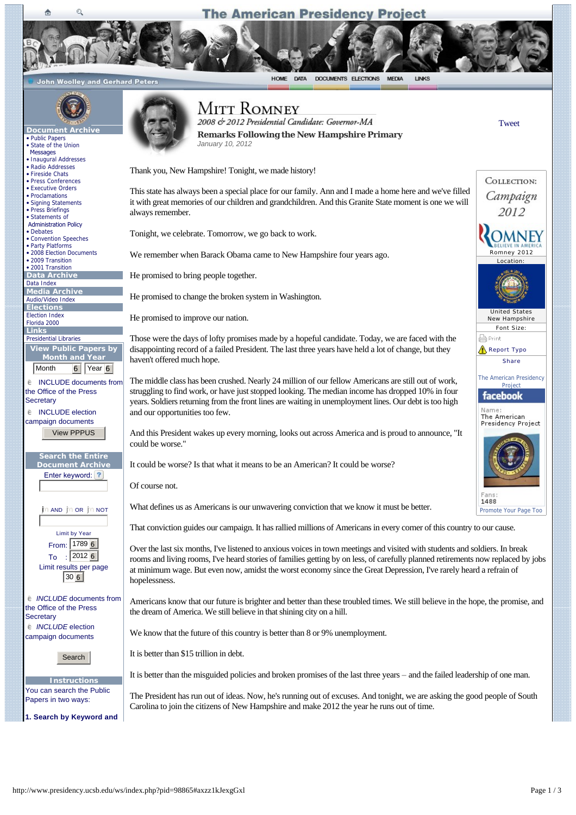## **The American Presidency Project**

HOME DATA DOCUMENTS ELECTIONS

MEDIA

LINKS

**John Woolley and Gerhard Peters** 



Ō

**Document** • [Public Papers](http://www.presidency.ucsb.edu/ws)

- [State of the Union](http://www.presidency.ucsb.edu/sou.php)
- **Messages**
- [Inaugural Addresses](http://www.presidency.ucsb.edu/inaugurals.php) • [Radio Addresses](http://www.presidency.ucsb.edu/satradio.php)
- [Fireside Chats](http://www.presidency.ucsb.edu/fireside.php)
- [Press Conferences](http://www.presidency.ucsb.edu/news_conferences.php)
- [Executive Orders](http://www.presidency.ucsb.edu/executive_orders.php)
- [Proclamations](http://www.presidency.ucsb.edu/proclamations.php)
- [Signing Statements](http://www.presidency.ucsb.edu/signingstatements.php) • [Press Briefings](http://www.presidency.ucsb.edu/press_briefings.php)
- Statements of
- [Administration Policy](http://www.presidency.ucsb.edu/saps.php)
- [Debates](http://www.presidency.ucsb.edu/debates.php)
- [Convention Speeches](http://www.presidency.ucsb.edu/nomination.php)
- [Party Platforms](http://www.presidency.ucsb.edu/platforms.php) • [2008 Election Documents](http://www.presidency.ucsb.edu/2008_election.php)
- [2009 Transition](http://www.presidency.ucsb.edu/transition2009.php)

• [2001 Transition](http://www.presidency.ucsb.edu/transition2001.php) **Data Archive** 

[Data Index](http://www.presidency.ucsb.edu/data.php)

**Media Archiv** 

[Audio/Video Index](http://www.presidency.ucsb.edu/media.php)

**Elections** [Election Index](http://www.presidency.ucsb.edu/elections.php)

[Florida 2000](http://www.presidency.ucsb.edu/florida2000.php)

**Links**

[Presidential Libraries](http://www.presidency.ucsb.edu/libraries.php) **View Public Papers by Month and Year**

Month 6 Year 6  $e$  INCLUDE documents from the Office of the Press **Secretary** 

 $é$  INCLUDE election campaign documents View PPPUS

| <b>Search the Entire</b> |
|--------------------------|
| Document Archive         |
| Enter keyword: ?         |
|                          |

 $\mathbf i$ n and  $\mathbf j$ n or  $\mathbf i$ n not  $\mathbf i$ 

Limit by Year From: 1789 6 To : 2012 6 Limit results per page  $30<sub>6</sub>$ 

 $\epsilon$  *INCLUDE* documents from the Office of the Press **Secretary**  $é$  *INCLUDE* election campaign documents

Search

**Instructions** You can search the Public Papers in two ways:

**1. Search by Keyword and** 



always remember.

# MITT ROMNEY

2008 & 2012 Presidential Candidate: Governor-MA **Remarks Following the New Hampshire Primary** *January 10, 2012*

**[Tweet](https://twitter.com/share)** 

COLLECTION: Campaign 2012

Romney 2012 Location:

OMNEY

United States New Hampshire Font Size:

[Promote Your Page Too](http://www.facebook.com/business/dashboard/)

1488

 $\Lambda$  [Report Typo](http://www.presidency.ucsb.edu/ws/index.php?pid=98865#) [Share](http://www.addthis.com/bookmark.php?v=250&username=gerhard71) The American Presidency [Project](http://www.facebook.com/pages/The-American-Presidency-Project/103922850052)

facebook Name: The American Presidency Project

A Print

This state has always been a special place for our family. Ann and I made a home here and we've filled it with great memories of our children and grandchildren. And this Granite State moment is one we will

Tonight, we celebrate. Tomorrow, we go back to work.

Thank you, New Hampshire! Tonight, we made history!

We remember when Barack Obama came to New Hampshire four years ago.

He promised to bring people together.

He promised to change the broken system in Washington.

He promised to improve our nation.

Those were the days of lofty promises made by a hopeful candidate. Today, we are faced with the disappointing record of a failed President. The last three years have held a lot of change, but they haven't offered much hope.

The middle class has been crushed. Nearly 24 million of our fellow Americans are still out of work, struggling to find work, or have just stopped looking. The median income has dropped 10% in four years. Soldiers returning from the front lines are waiting in unemployment lines. Our debt is too high and our opportunities too few.

And this President wakes up every morning, looks out across America and is proud to announce, "It could be worse."

It could be worse? Is that what it means to be an American? It could be worse?

Of course not.

What defines us as Americans is our unwavering conviction that we know it must be better.

That conviction guides our campaign. It has rallied millions of Americans in every corner of this country to our cause.

Over the last six months, I've listened to anxious voices in town meetings and visited with students and soldiers. In break rooms and living rooms, I've heard stories of families getting by on less, of carefully planned retirements now replaced by jobs at minimum wage. But even now, amidst the worst economy since the Great Depression, I've rarely heard a refrain of hopelessness.

Americans know that our future is brighter and better than these troubled times. We still believe in the hope, the promise, and the dream of America. We still believe in that shining city on a hill.

We know that the future of this country is better than 8 or 9% unemployment.

It is better than \$15 trillion in debt.

It is better than the misguided policies and broken promises of the last three years – and the failed leadership of one man.

The President has run out of ideas. Now, he's running out of excuses. And tonight, we are asking the good people of South Carolina to join the citizens of New Hampshire and make 2012 the year he runs out of time.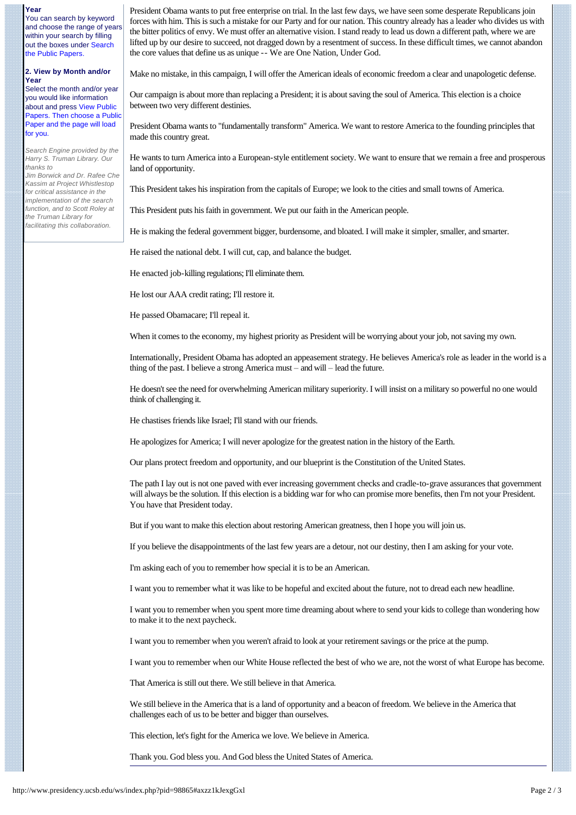#### **Year**

You can search by keyword and choose the range of years within your search by filling out the boxes under Search the Public Papers.

#### **2. View by Month and/or Year**

Select the month and/or year you would like information about and press View Public Papers. Then choose a Public Paper and the page will load for you.

*Search Engine provided by the Harry S. Truman Library. Our thanks to* 

*Jim Borwick and Dr. Rafee Che Kassim at Project Whistlestop for critical assistance in the implementation of the search function, and to Scott Roley at the Truman Library for facilitating this collaboration.*

President Obama wants to put free enterprise on trial. In the last few days, we have seen some desperate Republicans join forces with him. This is such a mistake for our Party and for our nation. This country already has a leader who divides us with the bitter politics of envy. We must offer an alternative vision. I stand ready to lead us down a different path, where we are lifted up by our desire to succeed, not dragged down by a resentment of success. In these difficult times, we cannot abandon the core values that define us as unique -- We are One Nation, Under God.

Make no mistake, in this campaign, I will offer the American ideals of economic freedom a clear and unapologetic defense.

Our campaign is about more than replacing a President; it is about saving the soul of America. This election is a choice between two very different destinies.

President Obama wants to "fundamentally transform" America. We want to restore America to the founding principles that made this country great.

He wants to turn America into a European-style entitlement society. We want to ensure that we remain a free and prosperous land of opportunity.

This President takes his inspiration from the capitals of Europe; we look to the cities and small towns of America.

This President puts his faith in government. We put our faith in the American people.

He is making the federal government bigger, burdensome, and bloated. I will make it simpler, smaller, and smarter.

He raised the national debt. I will cut, cap, and balance the budget.

He enacted job-killing regulations; I'll eliminate them.

He lost our AAA credit rating; I'll restore it.

He passed Obamacare; I'll repeal it.

When it comes to the economy, my highest priority as President will be worrying about your job, not saving my own.

Internationally, President Obama has adopted an appeasement strategy. He believes America's role as leader in the world is a thing of the past. I believe a strong America must – and will – lead the future.

He doesn't see the need for overwhelming American military superiority. I will insist on a military so powerful no one would think of challenging it.

He chastises friends like Israel; I'll stand with our friends.

He apologizes for America; I will never apologize for the greatest nation in the history of the Earth.

Our plans protect freedom and opportunity, and our blueprint is the Constitution of the United States.

The path I lay out is not one paved with ever increasing government checks and cradle-to-grave assurances that government will always be the solution. If this election is a bidding war for who can promise more benefits, then I'm not your President. You have that President today.

But if you want to make this election about restoring American greatness, then I hope you will join us.

If you believe the disappointments of the last few years are a detour, not our destiny, then I am asking for your vote.

I'm asking each of you to remember how special it is to be an American.

I want you to remember what it was like to be hopeful and excited about the future, not to dread each new headline.

I want you to remember when you spent more time dreaming about where to send your kids to college than wondering how to make it to the next paycheck.

I want you to remember when you weren't afraid to look at your retirement savings or the price at the pump.

I want you to remember when our White House reflected the best of who we are, not the worst of what Europe has become.

That America is still out there. We still believe in that America.

We still believe in the America that is a land of opportunity and a beacon of freedom. We believe in the America that challenges each of us to be better and bigger than ourselves.

This election, let's fight for the America we love. We believe in America.

Thank you. God bless you. And God bless the United States of America.